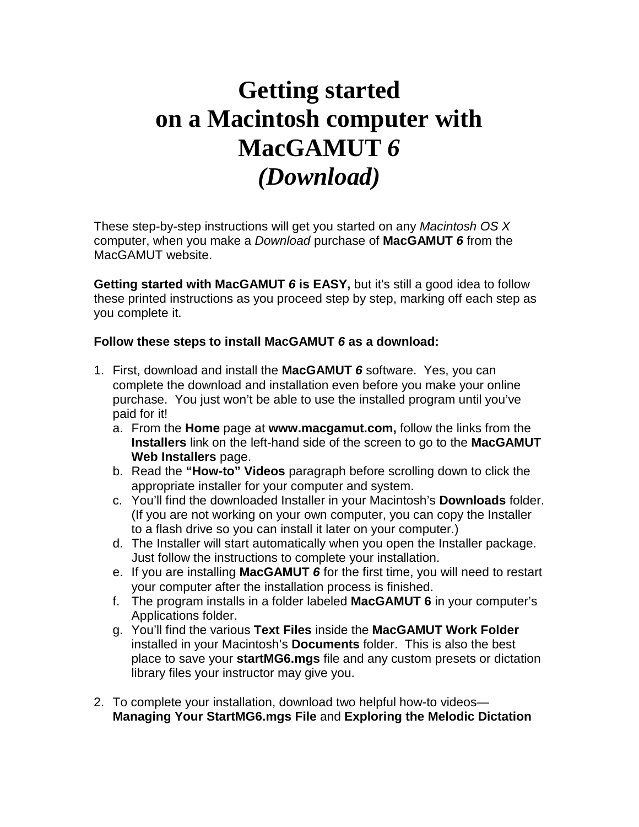## **Getting started on a Macintosh computer with MacGAMUT** *6 (Download)*

These step-by-step instructions will get you started on any *Macintosh OS X* computer, when you make a *Download* purchase of **MacGAMUT** *6* from the MacGAMUT website.

**Getting started with MacGAMUT** *6* **is EASY,** but it's still a good idea to follow these printed instructions as you proceed step by step, marking off each step as you complete it.

## **Follow these steps to install MacGAMUT** *6* **as a download:**

- 1. First, download and install the **MacGAMUT** *6* software. Yes, you can complete the download and installation even before you make your online purchase. You just won't be able to use the installed program until you've paid for it!
	- a. From the **Home** page at **www.macgamut.com,** follow the links from the **Installers** link on the left-hand side of the screen to go to the **MacGAMUT Web Installers** page.
	- b. Read the **"How-to" Videos** paragraph before scrolling down to click the appropriate installer for your computer and system.
	- c. You'll find the downloaded Installer in your Macintosh's **Downloads** folder. (If you are not working on your own computer, you can copy the Installer to a flash drive so you can install it later on your computer.)
	- d. The Installer will start automatically when you open the Installer package. Just follow the instructions to complete your installation.
	- e. If you are installing **MacGAMUT** *6* for the first time, you will need to restart your computer after the installation process is finished.
	- f. The program installs in a folder labeled **MacGAMUT 6** in your computer's Applications folder.
	- g. You'll find the various **Text Files** inside the **MacGAMUT Work Folder** installed in your Macintosh's **Documents** folder. This is also the best place to save your **startMG6.mgs** file and any custom presets or dictation library files your instructor may give you.
- 2. To complete your installation, download two helpful how-to videos— **Managing Your StartMG6.mgs File** and **Exploring the Melodic Dictation**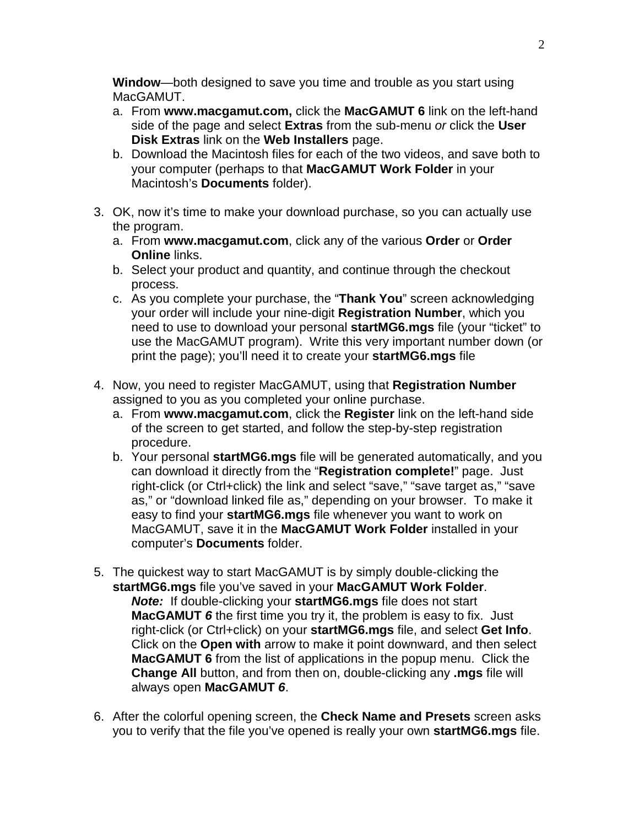**Window**—both designed to save you time and trouble as you start using MacGAMUT.

- a. From **www.macgamut.com,** click the **MacGAMUT 6** link on the left-hand side of the page and select **Extras** from the sub-menu *or* click the **User Disk Extras** link on the **Web Installers** page.
- b. Download the Macintosh files for each of the two videos, and save both to your computer (perhaps to that **MacGAMUT Work Folder** in your Macintosh's **Documents** folder).
- 3. OK, now it's time to make your download purchase, so you can actually use the program.
	- a. From **www.macgamut.com**, click any of the various **Order** or **Order Online** links.
	- b. Select your product and quantity, and continue through the checkout process.
	- c. As you complete your purchase, the "**Thank You**" screen acknowledging your order will include your nine-digit **Registration Number**, which you need to use to download your personal **startMG6.mgs** file (your "ticket" to use the MacGAMUT program). Write this very important number down (or print the page); you'll need it to create your **startMG6.mgs** file
- 4. Now, you need to register MacGAMUT, using that **Registration Number** assigned to you as you completed your online purchase.
	- a. From **www.macgamut.com**, click the **Register** link on the left-hand side of the screen to get started, and follow the step-by-step registration procedure.
	- b. Your personal **startMG6.mgs** file will be generated automatically, and you can download it directly from the "**Registration complete!**" page. Just right-click (or Ctrl+click) the link and select "save," "save target as," "save as," or "download linked file as," depending on your browser. To make it easy to find your **startMG6.mgs** file whenever you want to work on MacGAMUT, save it in the **MacGAMUT Work Folder** installed in your computer's **Documents** folder.
- 5. The quickest way to start MacGAMUT is by simply double-clicking the **startMG6.mgs** file you've saved in your **MacGAMUT Work Folder**. *Note:* If double-clicking your **startMG6.mgs** file does not start **MacGAMUT** *6* the first time you try it, the problem is easy to fix. Just right-click (or Ctrl+click) on your **startMG6.mgs** file, and select **Get Info**. Click on the **Open with** arrow to make it point downward, and then select **MacGAMUT 6** from the list of applications in the popup menu. Click the **Change All** button, and from then on, double-clicking any **.mgs** file will always open **MacGAMUT** *6*.
- 6. After the colorful opening screen, the **Check Name and Presets** screen asks you to verify that the file you've opened is really your own **startMG6.mgs** file.